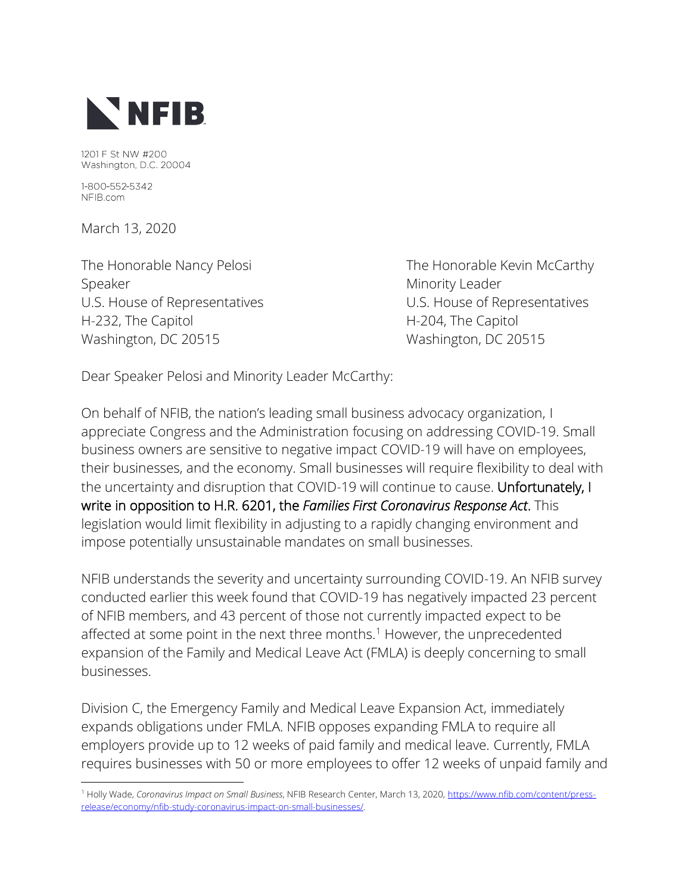

1201 F St NW #200 Washington, D.C. 20004

1-800-552-5342 NFIB.com

March 13, 2020

Speaker Minority Leader U.S. House of Representatives U.S. House of Representatives H-232, The Capitol **H-204**, The Capitol Washington, DC 20515 Washington, DC 20515

The Honorable Nancy Pelosi **The Honorable Kevin McCarthy** 

Dear Speaker Pelosi and Minority Leader McCarthy:

On behalf of NFIB, the nation's leading small business advocacy organization, I appreciate Congress and the Administration focusing on addressing COVID-19. Small business owners are sensitive to negative impact COVID-19 will have on employees, their businesses, and the economy. Small businesses will require flexibility to deal with the uncertainty and disruption that COVID-19 will continue to cause. Unfortunately, I write in opposition to H.R. 6201, the *Families First Coronavirus Response Act*. This legislation would limit flexibility in adjusting to a rapidly changing environment and impose potentially unsustainable mandates on small businesses.

NFIB understands the severity and uncertainty surrounding COVID-19. An NFIB survey conducted earlier this week found that COVID-19 has negatively impacted 23 percent of NFIB members, and 43 percent of those not currently impacted expect to be affected at some point in the next three months.<sup>1</sup> However, the unprecedented expansion of the Family and Medical Leave Act (FMLA) is deeply concerning to small businesses.

Division C, the Emergency Family and Medical Leave Expansion Act, immediately expands obligations under FMLA. NFIB opposes expanding FMLA to require all employers provide up to 12 weeks of paid family and medical leave. Currently, FMLA requires businesses with 50 or more employees to offer 12 weeks of unpaid family and

<sup>1</sup> Holly Wade, *Coronavirus Impact on Small Business*, NFIB Research Center, March 13, 2020[, https://www.nfib.com/content/press](https://www.nfib.com/content/press-release/economy/nfib-study-coronavirus-impact-on-small-businesses/)[release/economy/nfib-study-coronavirus-impact-on-small-businesses/.](https://www.nfib.com/content/press-release/economy/nfib-study-coronavirus-impact-on-small-businesses/)